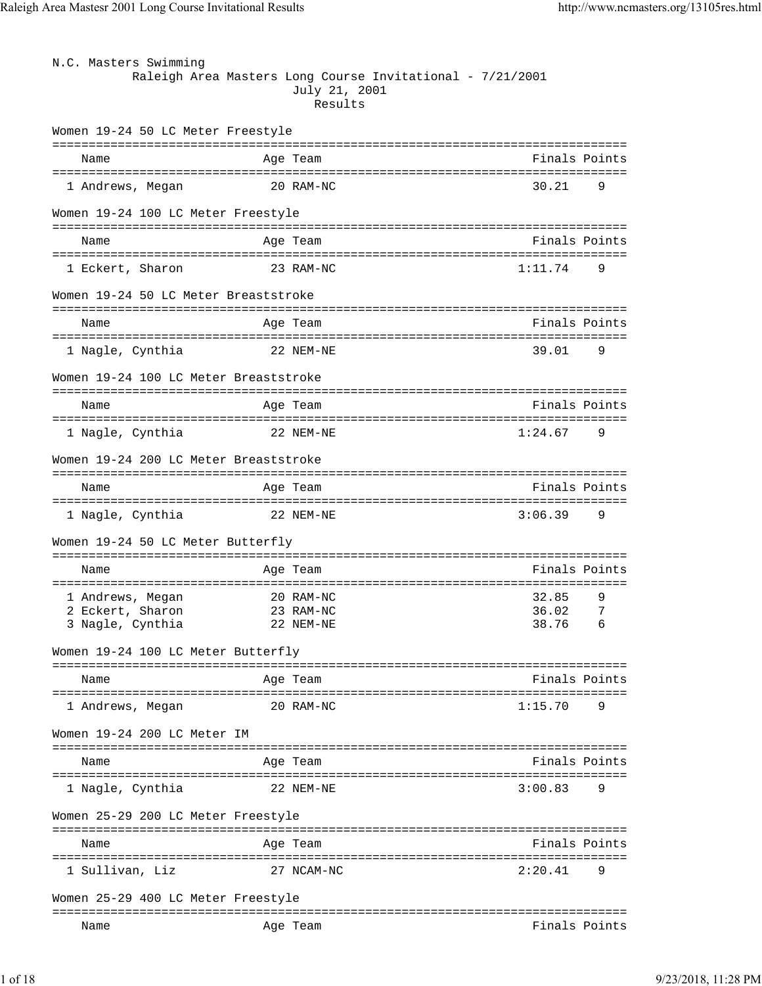| N.C. Masters Swimming                 |                                                                                       |               |
|---------------------------------------|---------------------------------------------------------------------------------------|---------------|
|                                       | Raleigh Area Masters Long Course Invitational - 7/21/2001<br>July 21, 2001<br>Results |               |
| Women 19-24 50 LC Meter Freestyle     |                                                                                       |               |
| Name                                  | Age Team                                                                              | Finals Points |
| 1 Andrews, Megan                      | 20 RAM-NC                                                                             | 30.21<br>9    |
| Women 19-24 100 LC Meter Freestyle    |                                                                                       |               |
| Name                                  | Age Team                                                                              | Finals Points |
| 1 Eckert, Sharon                      | 23 RAM-NC                                                                             | 1:11.74<br>9  |
| Women 19-24 50 LC Meter Breaststroke  |                                                                                       |               |
| Name                                  | Age Team                                                                              | Finals Points |
| 1 Nagle, Cynthia                      | 22 NEM-NE                                                                             | 39.01<br>9    |
| Women 19-24 100 LC Meter Breaststroke |                                                                                       |               |
| Name                                  | Age Team                                                                              | Finals Points |
| 1 Nagle, Cynthia                      | 22 NEM-NE                                                                             | 1:24.67<br>9  |
| Women 19-24 200 LC Meter Breaststroke |                                                                                       |               |
| Name                                  | Age Team                                                                              | Finals Points |
| 1 Nagle, Cynthia                      | 22 NEM-NE                                                                             | 3:06.39<br>9  |
| Women 19-24 50 LC Meter Butterfly     |                                                                                       |               |
| Name                                  | Age Team                                                                              | Finals Points |
| 1 Andrews, Megan                      | 20 RAM-NC                                                                             | 32.85<br>9    |
| 2 Eckert, Sharon                      | 23 RAM-NC                                                                             | 7<br>36.02    |
| 3 Nagle, Cynthia                      | 22 NEM-NE                                                                             | 38.76<br>6    |
| Women 19-24 100 LC Meter Butterfly    |                                                                                       |               |
| Name                                  | Age Team                                                                              | Finals Points |
| 1 Andrews, Megan                      | 20 RAM-NC                                                                             | 1:15.70<br>9  |
| Women 19-24 200 LC Meter IM           |                                                                                       |               |
| Name                                  | Age Team                                                                              | Finals Points |
| 1 Nagle, Cynthia                      | 22 NEM-NE                                                                             | 3:00.83<br>9  |
| Women 25-29 200 LC Meter Freestyle    |                                                                                       |               |
| Name                                  | Age Team                                                                              | Finals Points |
| 1 Sullivan, Liz                       | 27 NCAM-NC                                                                            | 2:20.41<br>9  |
| Women 25-29 400 LC Meter Freestyle    |                                                                                       |               |
| Name                                  | Age Team                                                                              | Finals Points |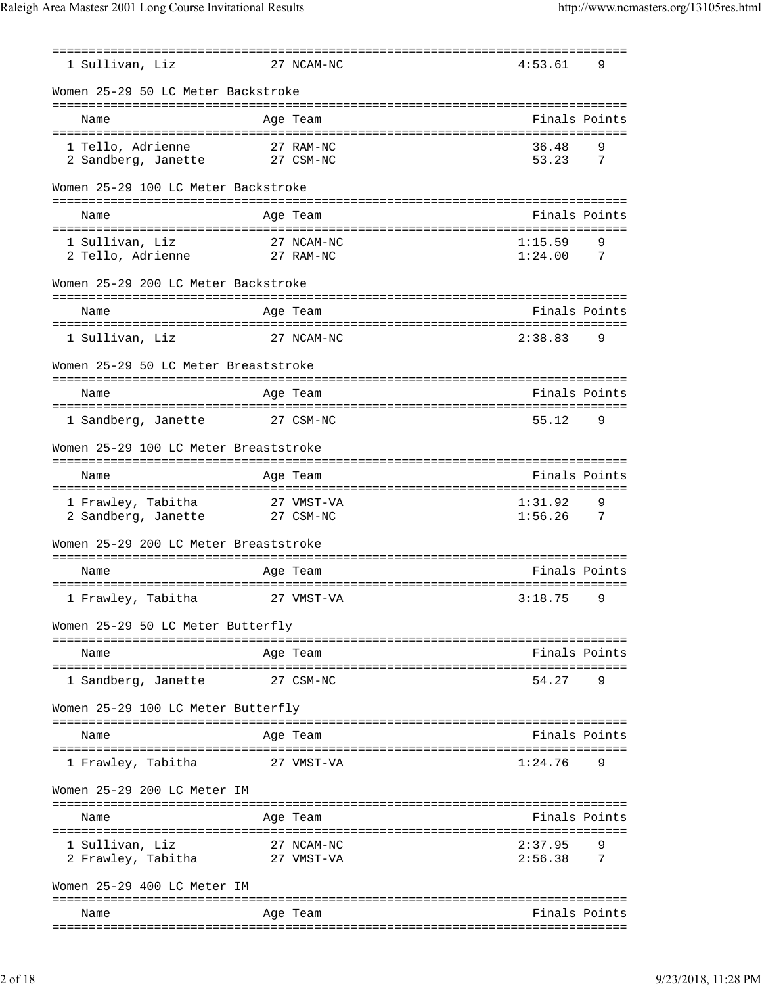| 1 Sullivan, Liz                                      | 27 NCAM-NC              | 4:53.61                | 9                   |
|------------------------------------------------------|-------------------------|------------------------|---------------------|
| Women 25-29 50 LC Meter Backstroke                   |                         |                        |                     |
| Name                                                 | Age Team                | Finals Points          |                     |
| 1 Tello, Adrienne<br>2 Sandberg, Janette             | 27 RAM-NC<br>27 CSM-NC  | 36.48<br>53.23         | 9<br>$\overline{7}$ |
| Women 25-29 100 LC Meter Backstroke                  |                         |                        |                     |
| Name                                                 | Age Team                | Finals Points          |                     |
| 1 Sullivan, Liz<br>2 Tello, Adrienne                 | 27 NCAM-NC<br>27 RAM-NC | 1:15.59<br>1:24.00     | 9<br>$\overline{7}$ |
| Women 25-29 200 LC Meter Backstroke                  |                         |                        |                     |
| Name                                                 | Age Team                | Finals Points          |                     |
| 27 NCAM-NC<br>1 Sullivan, Liz                        |                         | 2:38.83                | 9                   |
| Women 25-29 50 LC Meter Breaststroke                 |                         |                        |                     |
| Name                                                 | Age Team                | Finals Points          |                     |
| 1 Sandberg, Janette                                  | 27 CSM-NC               | 55.12                  | 9                   |
| Women 25-29 100 LC Meter Breaststroke                |                         |                        |                     |
|                                                      |                         | Finals Points          |                     |
| Name                                                 | Age Team                |                        |                     |
| 1 Frawley, Tabitha 27 VMST-VA<br>2 Sandberg, Janette | 27 CSM-NC               | 1:31.92<br>$1:56.26$ 7 | 9                   |
| Women 25-29 200 LC Meter Breaststroke                |                         |                        |                     |
| Name                                                 | Age Team                | Finals Points          |                     |
|                                                      |                         | 3:18.75                | Q                   |
|                                                      |                         |                        |                     |
| Women 25-29 50 LC Meter Butterfly                    |                         |                        |                     |
| Name                                                 | Age Team                | Finals Points          |                     |
| 1 Sandberg, Janette                                  | 27 CSM-NC               | 54.27                  | 9                   |
| Women 25-29 100 LC Meter Butterfly                   |                         |                        |                     |
| Name                                                 | Age Team                | Finals Points          |                     |
|                                                      |                         |                        |                     |
| 1 Frawley, Tabitha                                   | 27 VMST-VA              | $1:24.76$ 9            |                     |
| Women 25-29 200 LC Meter IM                          |                         |                        |                     |
| Name                                                 | Age Team                | Finals Points          |                     |
| 1 Sullivan, Liz<br>2 Frawley, Tabitha 27 VMST-VA     | 27 NCAM-NC              | 2:37.95<br>2:56.38 7   | 9                   |
| Women 25-29 400 LC Meter IM                          |                         |                        |                     |
| Name                                                 | Age Team                | Finals Points          |                     |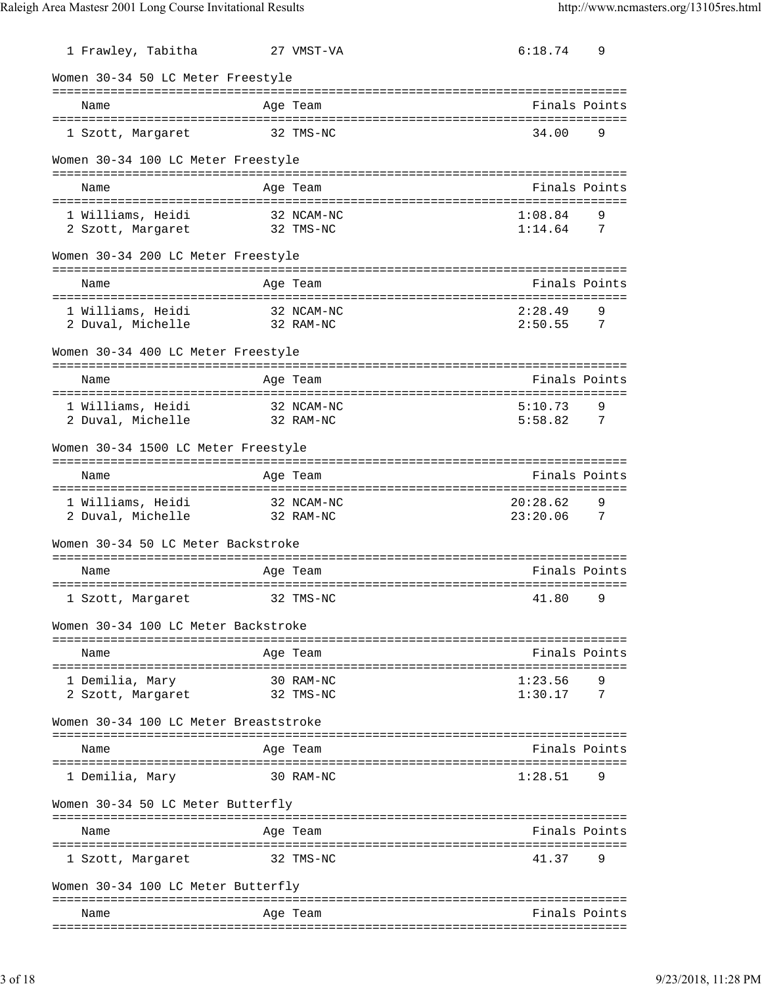| 1 Frawley, Tabitha                         | 27 VMST-VA                   | 6:18.74<br>9                                 |
|--------------------------------------------|------------------------------|----------------------------------------------|
| Women 30-34 50 LC Meter Freestyle          |                              |                                              |
| Name                                       | Age Team                     | Finals Points                                |
| 1 Szott, Margaret                          | 32 TMS-NC                    | 34.00<br>9                                   |
| Women 30-34 100 LC Meter Freestyle         |                              |                                              |
| Name                                       | Age Team                     | Finals Points                                |
| 1 Williams, Heidi                          | 32 NCAM-NC                   | 1:08.84<br>9                                 |
| 2 Szott, Margaret 32 TMS-NC                |                              | $1:14.64$ 7                                  |
| Women 30-34 200 LC Meter Freestyle         |                              |                                              |
| Name                                       | Age Team                     | Finals Points                                |
| 1 Williams, Heidi                          | 32 NCAM-NC                   | 2:28.49<br>9                                 |
| 2 Duval, Michelle                          | 32 RAM-NC                    | $2:50.55$ 7                                  |
| Women 30-34 400 LC Meter Freestyle         |                              |                                              |
| Name                                       | Age Team                     | Finals Points                                |
| 1 Williams, Heidi                          | 32 NCAM-NC                   | 5:10.73<br>9                                 |
| 2 Duval, Michelle                          | 32 RAM-NC                    | 5:58.82<br>$\overline{7}$                    |
| Women 30-34 1500 LC Meter Freestyle        |                              |                                              |
| Name                                       | Age Team                     | Finals Points                                |
| 1 Williams, Heidi 32 NCAM-NC               |                              | 20:28.62<br>9                                |
| 2 Duval, Michelle                          | 32 RAM-NC                    | 23:20.06<br>$\overline{7}$                   |
| Women 30-34 50 LC Meter Backstroke         |                              |                                              |
| Name                                       | Age Team                     | Finals Points                                |
| 1 Szott, Margaret                          | 32 TMS-NC                    | 41.80<br>9                                   |
| Women 30-34 100 LC Meter Backstroke        |                              |                                              |
| ------------------------------<br>Name     | Aqe Team                     | Finals Points                                |
| =======================<br>1 Demilia, Mary | =============<br>30 RAM-NC   | 1:23.56                                      |
| 2 Szott, Margaret                          | 32 TMS-NC                    | 1:30.17<br>7                                 |
| Women 30-34 100 LC Meter Breaststroke      |                              |                                              |
| Name                                       | Age Team                     | Finals Points                                |
| 1 Demilia, Mary                            | 30 RAM-NC                    | 1:28.51<br>9                                 |
| Women 30-34 50 LC Meter Butterfly          |                              |                                              |
| Name                                       | ================<br>Age Team | ===========================<br>Finals Points |
| -----------------<br>1 Szott, Margaret     | -------------<br>32 TMS-NC   | 41.37<br>9                                   |
| Women 30-34 100 LC Meter Butterfly         |                              |                                              |
| Name                                       | Age Team                     | Finals Points                                |
|                                            |                              |                                              |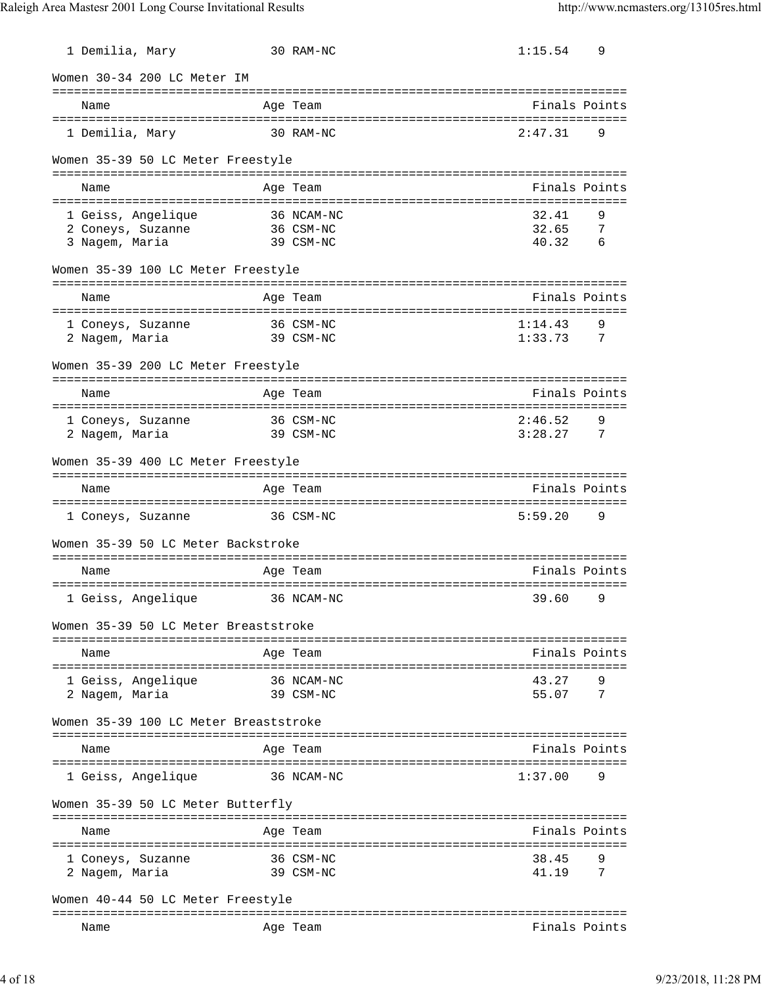| 1 Demilia, Mary                       | 30 RAM-NC                 | 1:15.54<br>9                                   |
|---------------------------------------|---------------------------|------------------------------------------------|
| Women 30-34 200 LC Meter IM           |                           |                                                |
| Name                                  | Age Team                  | Finals Points                                  |
| 1 Demilia, Mary                       | 30 RAM-NC                 | 2:47.31<br>9                                   |
| Women 35-39 50 LC Meter Freestyle     |                           |                                                |
| Name                                  | Age Team                  | Finals Points                                  |
| 1 Geiss, Angelique                    | 36 NCAM-NC                | 32.41<br>9                                     |
| 2 Coneys, Suzanne<br>3 Nagem, Maria   | 36 CSM-NC<br>39 CSM-NC    | 32.65<br>-7<br>40.32<br>6                      |
| Women 35-39 100 LC Meter Freestyle    |                           |                                                |
| Name                                  | Age Team                  | Finals Points                                  |
| 1 Coneys, Suzanne                     | 36 CSM-NC                 | 1:14.43<br>9                                   |
| 2 Nagem, Maria                        | 39 CSM-NC                 | 1:33.73<br>$\overline{7}$                      |
| Women 35-39 200 LC Meter Freestyle    |                           |                                                |
| Name                                  | Age Team                  | Finals Points                                  |
| 1 Coneys, Suzanne                     | 36 CSM-NC                 | 2:46.52<br>9                                   |
| 2 Nagem, Maria                        | 39 CSM-NC                 | 3:28.27<br>$\overline{7}$                      |
| Women 35-39 400 LC Meter Freestyle    |                           |                                                |
| Name                                  | Age Team                  | Finals Points                                  |
| 1 Coneys, Suzanne                     | 36 CSM-NC                 | 5:59.20<br>9                                   |
| Women 35-39 50 LC Meter Backstroke    |                           |                                                |
| Name                                  | Age Team                  | Finals Points                                  |
| 1 Geiss, Angelique                    | 36 NCAM-NC                | 39.60<br>9                                     |
| Women 35-39 50 LC Meter Breaststroke  |                           |                                                |
| Name                                  | Age Team                  | Finals Points                                  |
| =========================             | :==========<br>36 NCAM-NC | =====================================<br>43.27 |
| 1 Geiss, Angelique<br>2 Nagem, Maria  | 39 CSM-NC                 | 9<br>55.07<br>7                                |
| Women 35-39 100 LC Meter Breaststroke |                           |                                                |
| Name                                  | Age Team                  | Finals Points                                  |
| 1 Geiss, Angelique                    | 36 NCAM-NC                | 1:37.00<br>9                                   |
| Women 35-39 50 LC Meter Butterfly     |                           |                                                |
| Name                                  | Age Team                  | Finals Points                                  |
|                                       | ==========                | =================                              |
| 1 Coneys, Suzanne<br>2 Nagem, Maria   | 36 CSM-NC<br>39 CSM-NC    | 38.45<br>9<br>41.19<br>7                       |
| Women 40-44 50 LC Meter Freestyle     |                           | ========================                       |
| Name                                  | Age Team                  | Finals Points                                  |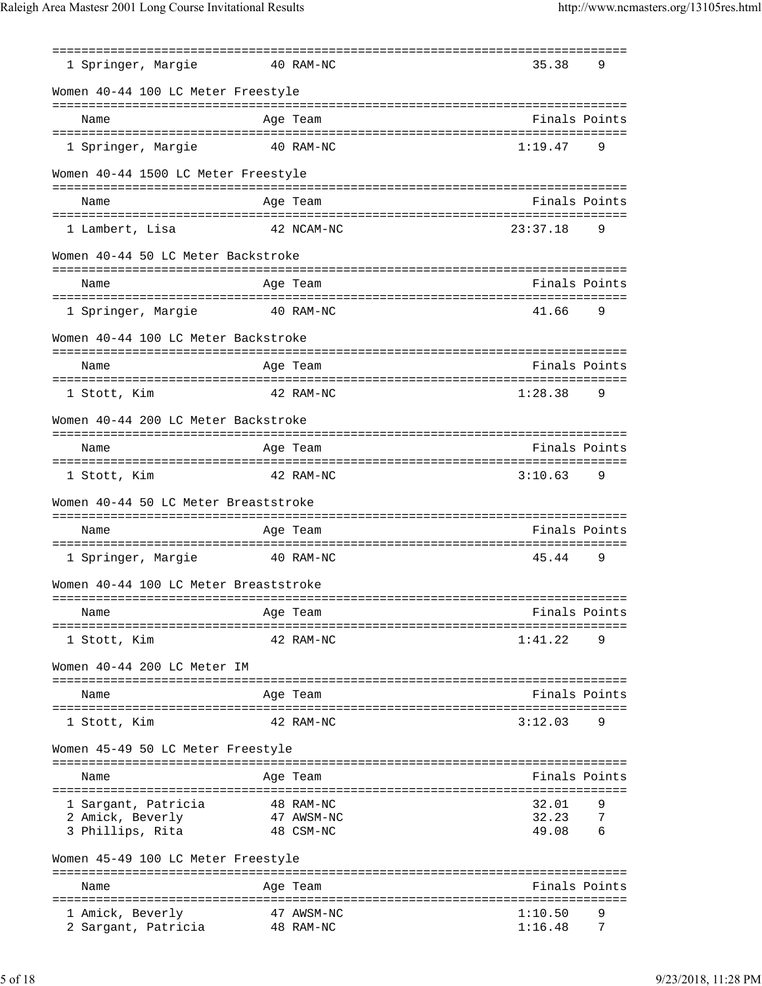|                                         |           | ==========              | =============================== |        |
|-----------------------------------------|-----------|-------------------------|---------------------------------|--------|
| 1 Springer, Margie                      |           | 40 RAM-NC               | 35.38                           | 9      |
| Women 40-44 100 LC Meter Freestyle      |           |                         |                                 |        |
| Name                                    |           | Age Team                | Finals Points                   |        |
| 1 Springer, Margie                      |           | 40 RAM-NC               | 1:19.47                         | 9      |
| Women 40-44 1500 LC Meter Freestyle     |           |                         |                                 |        |
| Name                                    |           | Age Team                | Finals Points                   |        |
|                                         |           |                         |                                 |        |
| 1 Lambert, Lisa                         |           | 42 NCAM-NC              | 23:37.18                        | 9      |
| Women 40-44 50 LC Meter Backstroke      |           |                         |                                 |        |
|                                         |           |                         |                                 |        |
| Name                                    |           | Age Team                | Finals Points                   |        |
| 1 Springer, Margie                      | 40 RAM-NC |                         | 41.66                           | 9      |
| Women 40-44 100 LC Meter Backstroke     |           |                         |                                 |        |
| Name                                    |           | Age Team                | Finals Points                   |        |
|                                         |           |                         |                                 |        |
| 1 Stott, Kim                            |           | 42 RAM-NC               | 1:28.38                         | 9      |
| Women 40-44 200 LC Meter Backstroke     |           |                         |                                 |        |
| Name                                    |           | Age Team                | Finals Points                   |        |
| 1 Stott, Kim                            |           | 42 RAM-NC               | 3:10.63                         | 9      |
| Women 40-44 50 LC Meter Breaststroke    |           |                         |                                 |        |
| Name                                    |           | Age Team                | Finals Points                   |        |
|                                         |           |                         |                                 |        |
| 1 Springer, Margie                      |           | 40 RAM-NC               | 45.44                           | 9      |
| Women 40-44 100 LC Meter Breaststroke   |           |                         |                                 |        |
| Name                                    |           | Age Team                | Finals Points                   |        |
| =================================       |           | ===============         |                                 |        |
| 1 Stott, Kim                            |           | 42 RAM-NC               | 1:41.22                         | 9      |
| Women 40-44 200 LC Meter IM             |           |                         |                                 |        |
| Name                                    |           | Age Team                | Finals Points                   |        |
| 1 Stott, Kim                            |           | 42 RAM-NC               | 3:12.03                         | 9      |
| Women 45-49 50 LC Meter Freestyle       |           |                         |                                 |        |
|                                         |           |                         | Finals Points                   |        |
| Name                                    |           | Age Team                |                                 |        |
| 1 Sargant, Patricia                     |           | 48 RAM-NC               | 32.01                           | 9      |
| 2 Amick, Beverly                        |           | 47 AWSM-NC              | 32.23                           | 7      |
| 3 Phillips, Rita                        |           | 48 CSM-NC               | 49.08                           | 6      |
| Women 45-49 100 LC Meter Freestyle      |           |                         |                                 |        |
| Name                                    |           | Age Team                | Finals Points                   |        |
|                                         |           |                         |                                 |        |
| 1 Amick, Beverly<br>2 Sargant, Patricia |           | 47 AWSM-NC<br>48 RAM-NC | 1:10.50<br>1:16.48              | 9<br>7 |
|                                         |           |                         |                                 |        |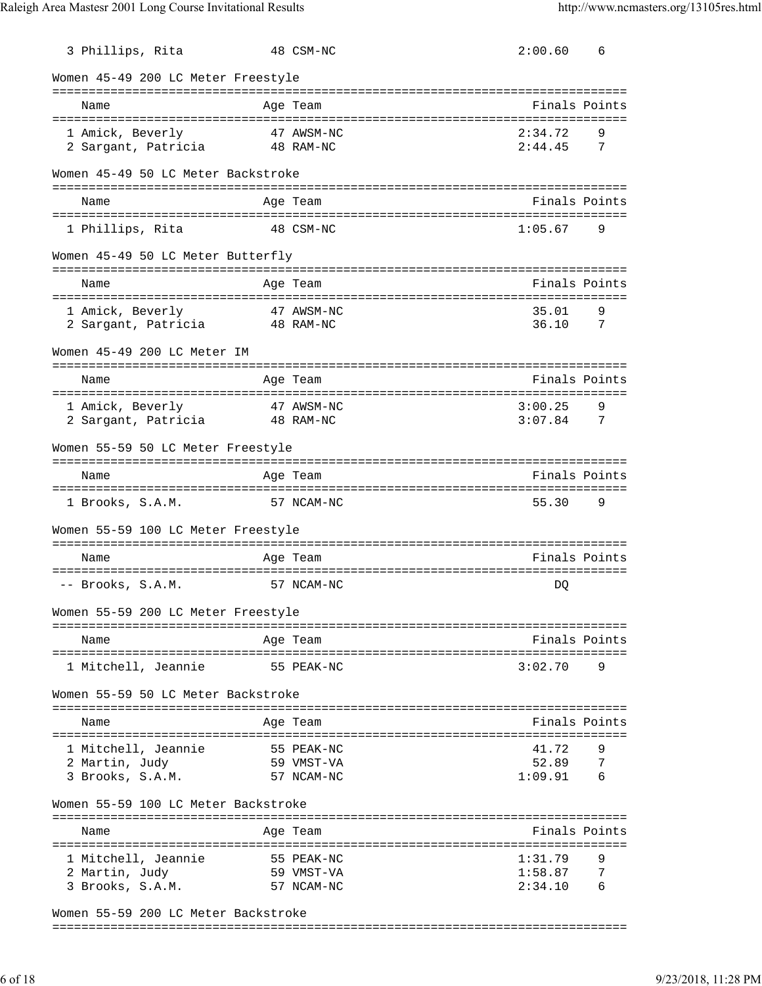| 3 Phillips, Rita                        | 48 CSM-NC               | 2:00.60<br>6                     |
|-----------------------------------------|-------------------------|----------------------------------|
| Women 45-49 200 LC Meter Freestyle      |                         |                                  |
| Name                                    | Age Team                | ---------------<br>Finals Points |
|                                         |                         | 2:34.72                          |
| 1 Amick, Beverly<br>2 Sargant, Patricia | 47 AWSM-NC<br>48 RAM-NC | 9<br>2:44.45<br>7                |
|                                         |                         |                                  |
| Women 45-49 50 LC Meter Backstroke      |                         |                                  |
| Name                                    | Age Team                | Finals Points                    |
| 1 Phillips, Rita                        | 48 CSM-NC               | 1:05.67<br>9                     |
| Women 45-49 50 LC Meter Butterfly       |                         |                                  |
| Name                                    | Age Team                | Finals Points                    |
| -----------------------------------     |                         | 9                                |
| 1 Amick, Beverly<br>2 Sargant, Patricia | 47 AWSM-NC<br>48 RAM-NC | 35.01<br>36.10<br>7              |
| Women 45-49 200 LC Meter IM             |                         |                                  |
| Name                                    | Age Team                | Finals Points                    |
| 1 Amick, Beverly                        | 47 AWSM-NC              | 3:00.25<br>9                     |
| 2 Sargant, Patricia                     | 48 RAM-NC               | 3:07.84<br>7                     |
|                                         |                         |                                  |
| Women 55-59 50 LC Meter Freestyle       |                         |                                  |
| Name                                    | Age Team                | Finals Points                    |
| 1 Brooks, S.A.M.                        | 57 NCAM-NC              | 55.30<br>9                       |
| Women 55-59 100 LC Meter Freestyle      |                         |                                  |
| Name                                    | Age Team                | Finals Points                    |
| -- Brooks, S.A.M.                       | 57 NCAM-NC              | DQ                               |
| Women 55-59 200 LC Meter Freestyle      |                         |                                  |
|                                         |                         |                                  |
| Name                                    | Age Team                | Finals Points                    |
| 1 Mitchell, Jeannie                     | 55 PEAK-NC              | 3:02.70<br>9                     |
| Women 55-59 50 LC Meter Backstroke      |                         |                                  |
| Name                                    | Age Team                | Finals Points                    |
| 1 Mitchell, Jeannie                     | 55 PEAK-NC              | 41.72                            |
| 2 Martin, Judy                          | 59 VMST-VA              | 52.89<br>7                       |
| 3 Brooks, S.A.M.                        | 57 NCAM-NC              | 1:09.91<br>6                     |
| Women 55-59 100 LC Meter Backstroke     |                         |                                  |
| Name                                    | Age Team                | Finals Points                    |
|                                         |                         |                                  |
| 1 Mitchell, Jeannie                     | 55 PEAK-NC              | 1:31.79<br>9                     |
| 2 Martin, Judy                          | 59 VMST-VA              | 7<br>1:58.87                     |
| 3 Brooks, S.A.M.                        | 57 NCAM-NC              | 2:34.10<br>6                     |
| Woman 55-59 200 IC Matar Backstroke     |                         |                                  |

Women 55-59 200 LC Meter Backstroke

===============================================================================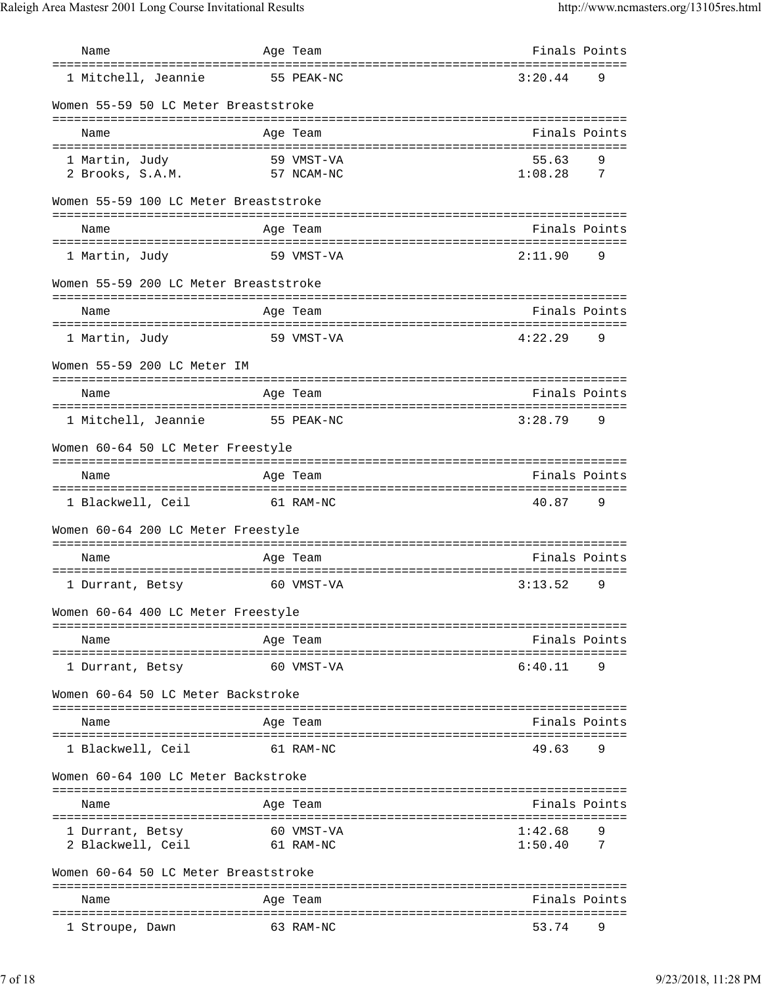| Name                                   |           | Age Team                                        | Finals Points    |        |
|----------------------------------------|-----------|-------------------------------------------------|------------------|--------|
| 1 Mitchell, Jeannie                    |           | =================================<br>55 PEAK-NC | 3:20.44          | 9      |
| Women 55-59 50 LC Meter Breaststroke   |           |                                                 |                  |        |
| Name                                   |           | Age Team                                        | Finals Points    |        |
| ====================================== |           |                                                 |                  |        |
| 1 Martin, Judy<br>2 Brooks, S.A.M.     |           | 59 VMST-VA<br>57 NCAM-NC                        | 55.63<br>1:08.28 | 9<br>7 |
| Women 55-59 100 LC Meter Breaststroke  |           |                                                 |                  |        |
| Name                                   |           | Age Team                                        | Finals Points    |        |
| 1 Martin, Judy                         |           | 59 VMST-VA                                      | 2:11.90          | 9      |
| Women 55-59 200 LC Meter Breaststroke  |           |                                                 |                  |        |
| Name                                   |           | Age Team                                        | Finals Points    |        |
| 1 Martin, Judy                         |           | 59 VMST-VA                                      | 4:22.29          | 9      |
| Women 55-59 200 LC Meter IM            |           |                                                 |                  |        |
| Name                                   |           | Age Team                                        | Finals Points    |        |
|                                        |           |                                                 |                  |        |
| 1 Mitchell, Jeannie                    |           | 55 PEAK-NC                                      | 3:28.79          | 9      |
| Women 60-64 50 LC Meter Freestyle      |           |                                                 |                  |        |
| Name                                   |           | Age Team                                        | Finals Points    |        |
|                                        |           |                                                 |                  |        |
| 1 Blackwell, Ceil                      | 61 RAM-NC |                                                 | 40.87            | 9      |
| Women 60-64 200 LC Meter Freestyle     |           |                                                 |                  |        |
| Name                                   |           | Age Team                                        | Finals Points    |        |
| 1 Durrant, Betsy                       |           | 60 VMST-VA                                      | 3:13.52          | 9      |
| Women 60-64 400 LC Meter Freestyle     |           |                                                 |                  |        |
| Name                                   |           | Age Team                                        | Finals Points    |        |
|                                        |           |                                                 |                  |        |
| 1 Durrant, Betsy                       |           | 60 VMST-VA                                      | 6:40.11          | 9      |
| Women 60-64 50 LC Meter Backstroke     |           |                                                 |                  |        |
| Name                                   |           | Age Team                                        | Finals Points    |        |
| 1 Blackwell, Ceil                      |           | 61 RAM-NC                                       | 49.63            | 9      |
| Women 60-64 100 LC Meter Backstroke    |           |                                                 |                  |        |
| Name                                   |           | Age Team                                        | Finals Points    |        |
| 1 Durrant, Betsy                       |           | 60 VMST-VA                                      | 1:42.68          | 9      |
| 2 Blackwell, Ceil                      |           | 61 RAM-NC                                       | 1:50.40          | 7      |
| Women 60-64 50 LC Meter Breaststroke   |           |                                                 |                  |        |
| Name                                   |           | Age Team                                        | Finals Points    |        |
| 1 Stroupe, Dawn                        |           | 63 RAM-NC                                       | 53.74            | 9      |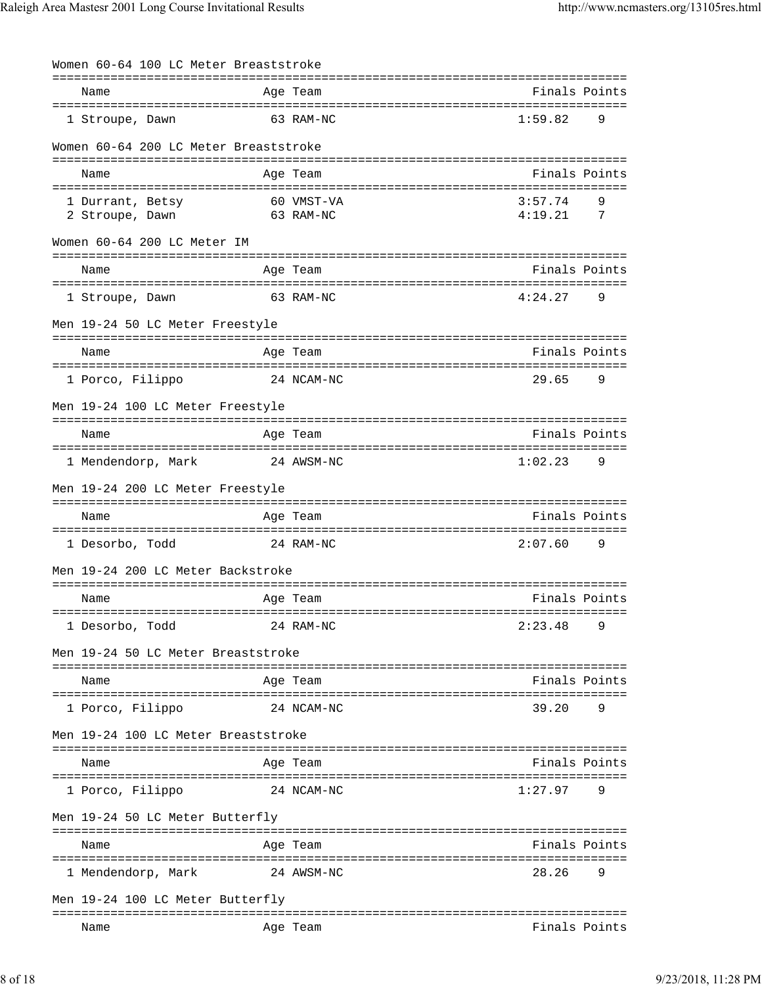| Women 60-64 100 LC Meter Breaststroke                    |                         |                                           |
|----------------------------------------------------------|-------------------------|-------------------------------------------|
| ===============================<br>Name                  | Age Team                | Finals Points                             |
| 1 Stroupe, Dawn                                          | 63 RAM-NC               | 1:59.82<br>9                              |
| Women 60-64 200 LC Meter Breaststroke                    |                         |                                           |
| Name                                                     | Age Team                | Finals Points                             |
|                                                          |                         |                                           |
| 1 Durrant, Betsy<br>2 Stroupe, Dawn                      | 60 VMST-VA<br>63 RAM-NC | 3:57.74<br>9<br>4:19.21<br>$\overline{7}$ |
| Women 60-64 200 LC Meter IM                              |                         | ------------------------------            |
| Name                                                     | Age Team                | Finals Points                             |
| 1 Stroupe, Dawn                                          | 63 RAM-NC               | 4:24.27<br>9                              |
| Men 19-24 50 LC Meter Freestyle                          |                         |                                           |
| Name                                                     | Age Team                | Finals Points                             |
| 1 Porco, Filippo                                         | 24 NCAM-NC              | 29.65<br>9                                |
| Men 19-24 100 LC Meter Freestyle                         |                         |                                           |
| Name                                                     | Age Team                | Finals Points                             |
| 1 Mendendorp, Mark                                       | 24 AWSM-NC              | 1:02.23<br>9                              |
| Men 19-24 200 LC Meter Freestyle                         |                         |                                           |
| Name                                                     | Age Team                | Finals Points                             |
| 1 Desorbo, Todd                                          | 24 RAM-NC               | 2:07.60<br>9                              |
| Men 19-24 200 LC Meter Backstroke                        |                         |                                           |
| Name                                                     | Age Team                | Finals Points                             |
| =====================================<br>1 Desorbo, Todd | 24 RAM-NC               | 2:23.48<br>9                              |
| Men 19-24 50 LC Meter Breaststroke                       |                         |                                           |
| Name                                                     | Age Team                | Finals Points                             |
| ========================<br>1 Porco, Filippo             | 24 NCAM-NC              | 39.20<br>9                                |
| Men 19-24 100 LC Meter Breaststroke                      |                         |                                           |
| Name                                                     | Age Team                | Finals Points                             |
| 1 Porco, Filippo                                         | 24 NCAM-NC              | 1:27.97<br>9                              |
| Men 19-24 50 LC Meter Butterfly                          |                         |                                           |
| Name                                                     | Aqe Team                | Finals Points                             |
| 1 Mendendorp, Mark                                       | 24 AWSM-NC              | 28.26<br>9                                |
| Men 19-24 100 LC Meter Butterfly                         |                         |                                           |
| Name                                                     | Age Team                | Finals Points                             |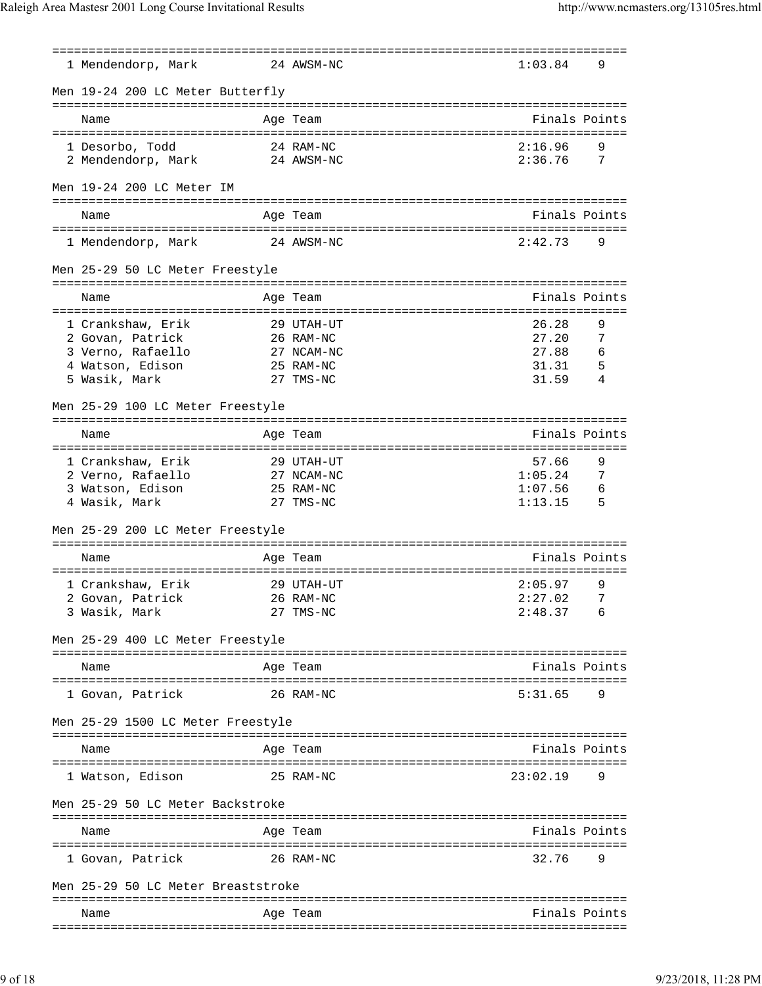| 1 Mendendorp, Mark                     | 24 AWSM-NC              | 1:03.84                            | 9       |
|----------------------------------------|-------------------------|------------------------------------|---------|
| Men 19-24 200 LC Meter Butterfly       |                         |                                    |         |
| Name                                   | Age Team                | Finals Points                      |         |
| 1 Desorbo, Todd                        | 24 RAM-NC               | 2:16.96                            | 9       |
| 2 Mendendorp, Mark                     | 24 AWSM-NC              | 2:36.76                            | 7       |
| Men 19-24 200 LC Meter IM              |                         |                                    |         |
| Name                                   | Age Team                | Finals Points                      |         |
| 1 Mendendorp, Mark                     | 24 AWSM-NC              | 2:42.73                            | 9       |
| Men 25-29 50 LC Meter Freestyle        |                         | ================================== |         |
| Name                                   | Age Team                | Finals Points                      |         |
|                                        |                         |                                    |         |
| 1 Crankshaw, Erik<br>2 Govan, Patrick  | 29 UTAH-UT<br>26 RAM-NC | 26.28<br>27.20                     | 9<br>7  |
| 3 Verno, Rafaello                      | 27 NCAM-NC              | 27.88                              | 6       |
| 4 Watson, Edison                       | 25 RAM-NC               | 31.31                              | 5       |
| 5 Wasik, Mark                          | 27 TMS-NC               | 31.59                              | 4       |
|                                        |                         |                                    |         |
| Men 25-29 100 LC Meter Freestyle       |                         |                                    |         |
| Name                                   | Age Team                | Finals Points                      |         |
| -------------------------------------- |                         | :=========================         |         |
| 1 Crankshaw, Erik                      | 29 UTAH-UT              | 57.66                              | 9       |
| 2 Verno, Rafaello                      | 27 NCAM-NC              | 1:05.24                            | 7       |
| 3 Watson, Edison                       | 25 RAM-NC               | 1:07.56                            | 6<br>-5 |
| 4 Wasik, Mark                          | 27 TMS-NC               | 1:13.15                            |         |
| Men 25-29 200 LC Meter Freestyle       |                         |                                    |         |
| Name                                   | Age Team                | Finals Points                      |         |
| 1 Crankshaw, Erik                      | 29 UTAH-UT              | 2:05.97                            | 9       |
| 2 Govan, Patrick                       | 26 RAM-NC               | 2:27.02                            | 7       |
| 3 Wasik, Mark                          | 27 TMS-NC               | 2:48.37                            | 6       |
| Men 25-29 400 LC Meter Freestyle       |                         |                                    |         |
|                                        |                         |                                    |         |
| Name                                   | Age Team                | Finals Points                      |         |
| 1 Govan, Patrick                       | 26 RAM-NC               | 5:31.65                            | 9       |
| Men 25-29 1500 LC Meter Freestyle      |                         |                                    |         |
| Name                                   | Age Team                | Finals Points                      |         |
| 1 Watson, Edison                       | 25 RAM-NC               | 23:02.19                           | 9       |
| Men 25-29 50 LC Meter Backstroke       |                         |                                    |         |
|                                        |                         |                                    |         |
| Name                                   | Age Team                | Finals Points                      |         |
|                                        |                         |                                    |         |
| 1 Govan, Patrick                       | 26 RAM-NC               | 32.76                              | 9       |
| Men 25-29 50 LC Meter Breaststroke     |                         |                                    |         |
| Name                                   | Age Team                | Finals Points                      |         |
|                                        |                         |                                    |         |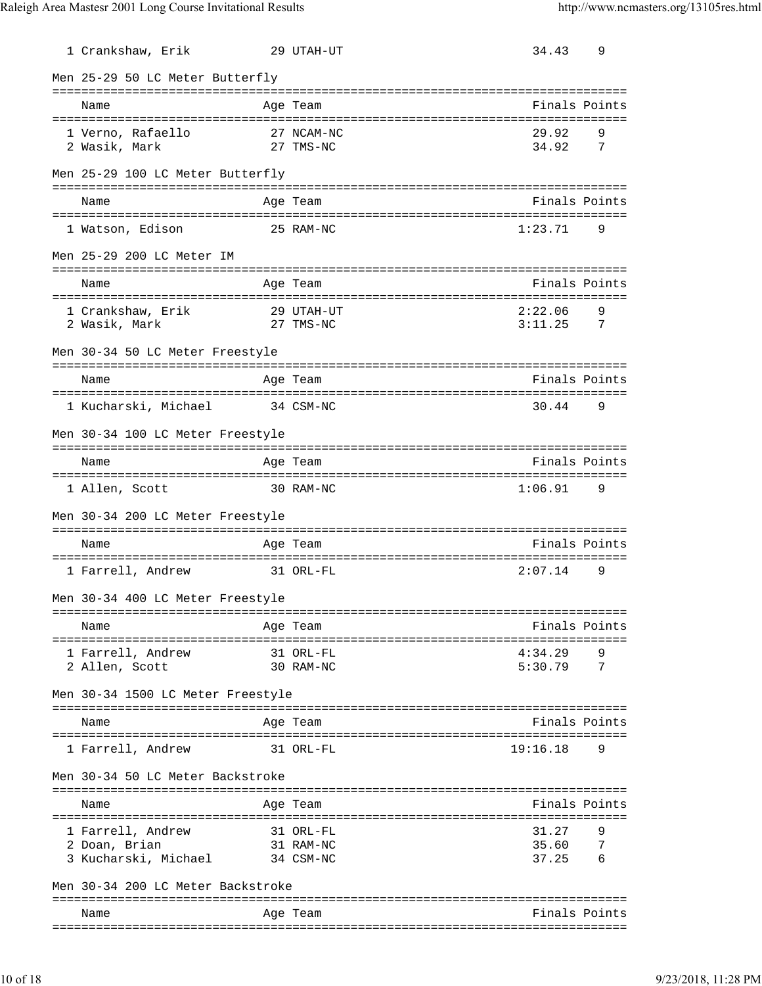| 1 Crankshaw, Erik                     |           | 29 UTAH-UT              | 34.43                                | 9 |
|---------------------------------------|-----------|-------------------------|--------------------------------------|---|
| Men 25-29 50 LC Meter Butterfly       |           |                         |                                      |   |
| Name                                  |           | Age Team                | Finals Points                        |   |
| 1 Verno, Rafaello                     |           | 27 NCAM-NC              | 29.92                                | 9 |
| 2 Wasik, Mark                         |           | 27 TMS-NC               | 34.92                                | 7 |
| Men 25-29 100 LC Meter Butterfly      |           |                         |                                      |   |
| Name                                  |           | Age Team                | Finals Points                        |   |
| 1 Watson, Edison                      |           | 25 RAM-NC               | 1:23.71                              | 9 |
| Men 25-29 200 LC Meter IM             |           |                         |                                      |   |
|                                       |           |                         |                                      |   |
| Name                                  |           | Age Team                | Finals Points                        |   |
| 1 Crankshaw, Erik<br>2 Wasik, Mark    |           | 29 UTAH-UT<br>27 TMS-NC | 2:22.06<br>3:11.25<br>$\overline{7}$ | 9 |
| Men 30-34 50 LC Meter Freestyle       |           |                         |                                      |   |
| Name                                  |           | Age Team                | Finals Points                        |   |
| 1 Kucharski, Michael                  | 34 CSM-NC |                         | 30.44                                | 9 |
| Men 30-34 100 LC Meter Freestyle      |           |                         |                                      |   |
| Name                                  |           | Age Team                | Finals Points                        |   |
|                                       |           |                         |                                      |   |
| 1 Allen, Scott                        | 30 RAM-NC |                         | 1:06.91                              | 9 |
| Men 30-34 200 LC Meter Freestyle      |           |                         |                                      |   |
| Name                                  |           | Age Team                | Finals Points                        |   |
| 1 Farrell, Andrew                     |           | 31 ORL-FL               | 2:07.14                              | 9 |
| Men 30-34 400 LC Meter Freestyle      |           |                         |                                      |   |
| Name                                  |           | Age Team                | Finals Points                        |   |
|                                       |           | 31 ORL-FL               | 4:34.29                              |   |
| 1 Farrell, Andrew<br>2 Allen, Scott   |           | 30 RAM-NC               | 5:30.79                              | 7 |
| Men 30-34 1500 LC Meter Freestyle     |           |                         |                                      |   |
| Name                                  |           | Age Team                | Finals Points                        |   |
| 1 Farrell, Andrew                     |           | 31 ORL-FL               | 19:16.18                             | 9 |
| Men 30-34 50 LC Meter Backstroke      |           |                         |                                      |   |
| Name                                  |           | Age Team                | Finals Points                        |   |
| ===================================== |           |                         | =================================    |   |
| 1 Farrell, Andrew                     |           | 31 ORL-FL               | 31.27                                | 9 |
| 2 Doan, Brian                         |           | 31 RAM-NC               | 35.60                                | 7 |
| 3 Kucharski, Michael                  |           | 34 CSM-NC               | 37.25                                | 6 |
| Men 30-34 200 LC Meter Backstroke     |           |                         |                                      |   |
| Name                                  |           | Age Team                | Finals Points                        |   |
|                                       |           |                         |                                      |   |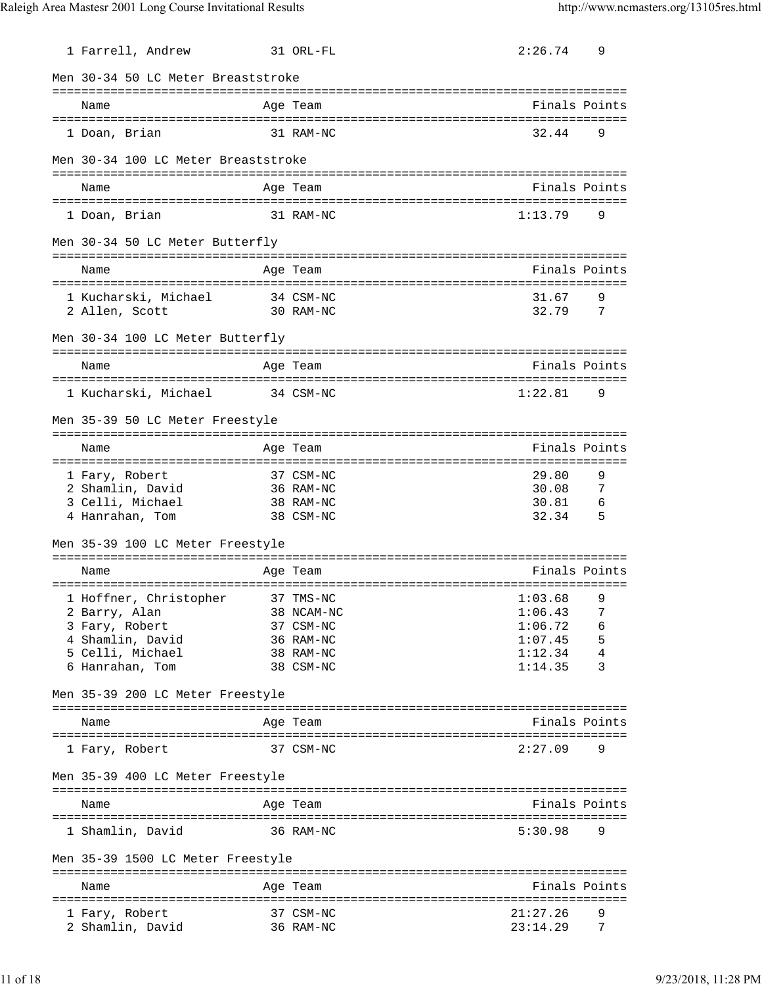| 1 Farrell, Andrew                   | 31 ORL-FL  | 2:26.74       | 9              |
|-------------------------------------|------------|---------------|----------------|
| Men 30-34 50 LC Meter Breaststroke  |            |               |                |
|                                     |            |               |                |
| Name                                | Age Team   | Finals Points |                |
| 1 Doan, Brian                       | 31 RAM-NC  | 32.44         | 9              |
| Men 30-34 100 LC Meter Breaststroke |            |               |                |
| Name                                | Age Team   | Finals Points |                |
| 1 Doan, Brian                       | 31 RAM-NC  | 1:13.79       | 9              |
| Men 30-34 50 LC Meter Butterfly     |            |               |                |
|                                     |            |               |                |
| Name                                | Age Team   | Finals Points |                |
| 1 Kucharski, Michael 34 CSM-NC      |            | 31.67         | 9              |
| 2 Allen, Scott                      | 30 RAM-NC  | 32.79         | $\overline{7}$ |
| Men 30-34 100 LC Meter Butterfly    |            |               |                |
| Name                                | Age Team   | Finals Points |                |
| 1 Kucharski, Michael                | 34 CSM-NC  | 1:22.81       | 9              |
|                                     |            |               |                |
| Men 35-39 50 LC Meter Freestyle     |            |               |                |
| Name                                | Age Team   | Finals Points |                |
|                                     |            |               |                |
| 1 Fary, Robert                      | 37 CSM-NC  | 29.80         | 9              |
| 2 Shamlin, David                    | 36 RAM-NC  | 30.08         | 7              |
| 3 Celli, Michael                    | 38 RAM-NC  | 30.81         | - 6            |
| 4 Hanrahan, Tom                     | 38 CSM-NC  | 32.34         | - 5            |
| Men 35-39 100 LC Meter Freestyle    |            |               |                |
| Name                                | Age Team   | Finals Points |                |
|                                     |            |               |                |
| 1 Hoffner, Christopher              | 37 TMS-NC  | 1:03.68       | 9              |
| 2 Barry, Alan                       | 38 NCAM-NC | 1:06.43       | 7              |
| 3 Fary, Robert                      | 37 CSM-NC  | 1:06.72       | 6              |
| 4 Shamlin, David                    | 36 RAM-NC  | 1:07.45       | 5              |
| 5 Celli, Michael                    | 38 RAM-NC  | 1:12.34       | 4              |
| 6 Hanrahan, Tom                     | 38 CSM-NC  | 1:14.35       | 3              |
| Men 35-39 200 LC Meter Freestyle    |            |               |                |
| Name                                | Age Team   | Finals Points |                |
| 1 Fary, Robert                      | 37 CSM-NC  | 2:27.09       | 9              |
|                                     |            |               |                |
| Men 35-39 400 LC Meter Freestyle    |            |               |                |
| Name                                | Age Team   | Finals Points |                |
| 1 Shamlin, David                    | 36 RAM-NC  | 5:30.98       | 9              |
| Men 35-39 1500 LC Meter Freestyle   |            |               |                |
|                                     |            |               |                |
| Name                                | Age Team   | Finals Points |                |
| 1 Fary, Robert                      | 37 CSM-NC  | 21:27.26      | 9              |
| 2 Shamlin, David                    | 36 RAM-NC  | 23:14.29      | 7              |
|                                     |            |               |                |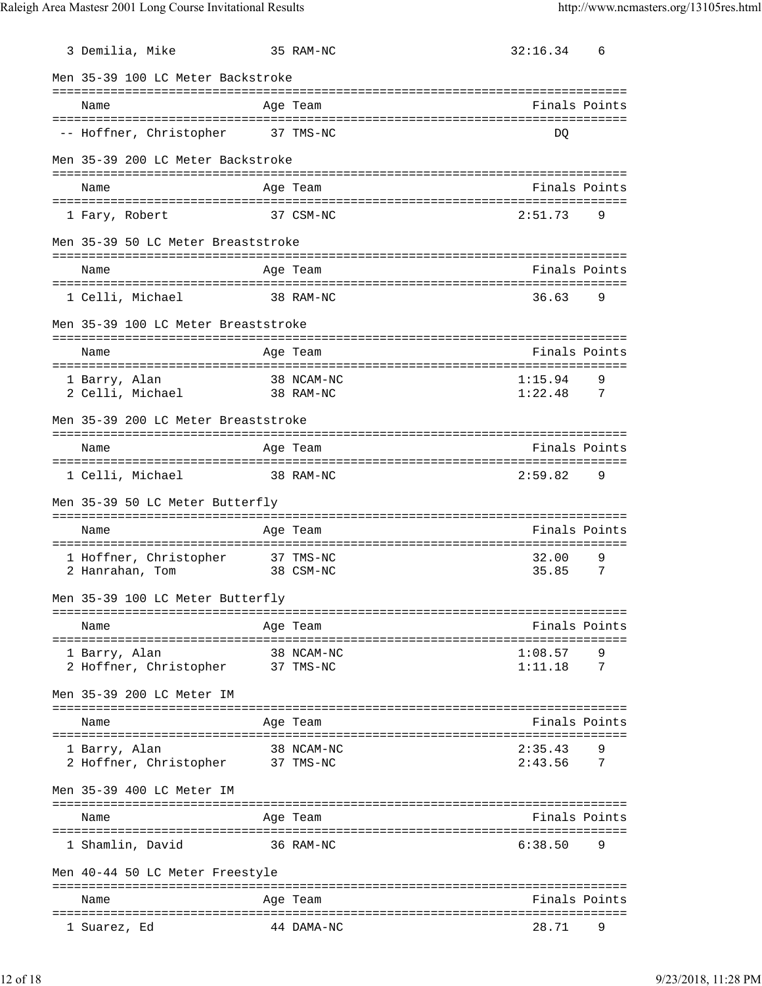| 3 Demilia, Mike                                     | 35 RAM-NC               | 32:16.34                                           | 6      |
|-----------------------------------------------------|-------------------------|----------------------------------------------------|--------|
| Men 35-39 100 LC Meter Backstroke                   |                         |                                                    |        |
| Name                                                | Age Team                | Finals Points                                      |        |
| -- Hoffner, Christopher 37 TMS-NC                   |                         | DO                                                 |        |
| Men 35-39 200 LC Meter Backstroke                   |                         |                                                    |        |
| Name                                                | Age Team                | Finals Points                                      |        |
| 1 Fary, Robert                                      | 37 CSM-NC               | 2:51.73                                            | 9      |
| Men 35-39 50 LC Meter Breaststroke                  |                         |                                                    |        |
| Name                                                | Age Team                | Finals Points                                      |        |
| 1 Celli, Michael                                    | 38 RAM-NC               | 36.63<br>- 9                                       |        |
| Men 35-39 100 LC Meter Breaststroke                 |                         |                                                    |        |
| Name                                                | Age Team                | Finals Points                                      |        |
| 1 Barry, Alan<br>2 Celli, Michael 38 RAM-NC         | 38 NCAM-NC              | 1:15.94<br>$1:22.48$ 7                             | 9      |
| Men 35-39 200 LC Meter Breaststroke                 |                         |                                                    |        |
| Name                                                | Age Team                | Finals Points                                      |        |
| 1 Celli, Michael                                    | 38 RAM-NC               | 2:59.82 9                                          |        |
| Men 35-39 50 LC Meter Butterfly                     |                         |                                                    |        |
| Name                                                | Age Team                | Finals Points                                      |        |
| 1 Hoffner, Christopher 37 TMS-NC<br>2 Hanrahan, Tom | 38 CSM-NC               | 32.00<br>35.85                                     | 9<br>7 |
| Men 35-39 100 LC Meter Butterfly                    |                         |                                                    |        |
| Name<br>====================================        | Age Team                | Finals Points<br>================================= |        |
| 1 Barry, Alan<br>2 Hoffner, Christopher             | 38 NCAM-NC<br>37 TMS-NC | 1:08.57<br>1:11.18                                 | 7      |
| Men 35-39 200 LC Meter IM                           |                         |                                                    |        |
| Name                                                | Age Team                | Finals Points                                      |        |
| 1 Barry, Alan<br>2 Hoffner, Christopher             | 38 NCAM-NC<br>37 TMS-NC | 2:35.43<br>2:43.56                                 | 7      |
| Men 35-39 400 LC Meter IM                           | ===============         |                                                    |        |
| Name                                                | Age Team                | Finals Points                                      |        |
| 1 Shamlin, David                                    | 36 RAM-NC               | 6:38.50                                            | 9      |
| Men 40-44 50 LC Meter Freestyle                     |                         |                                                    |        |
| Name                                                | Age Team                | Finals Points                                      |        |
| 1 Suarez, Ed                                        | 44 DAMA-NC              | 28.71                                              |        |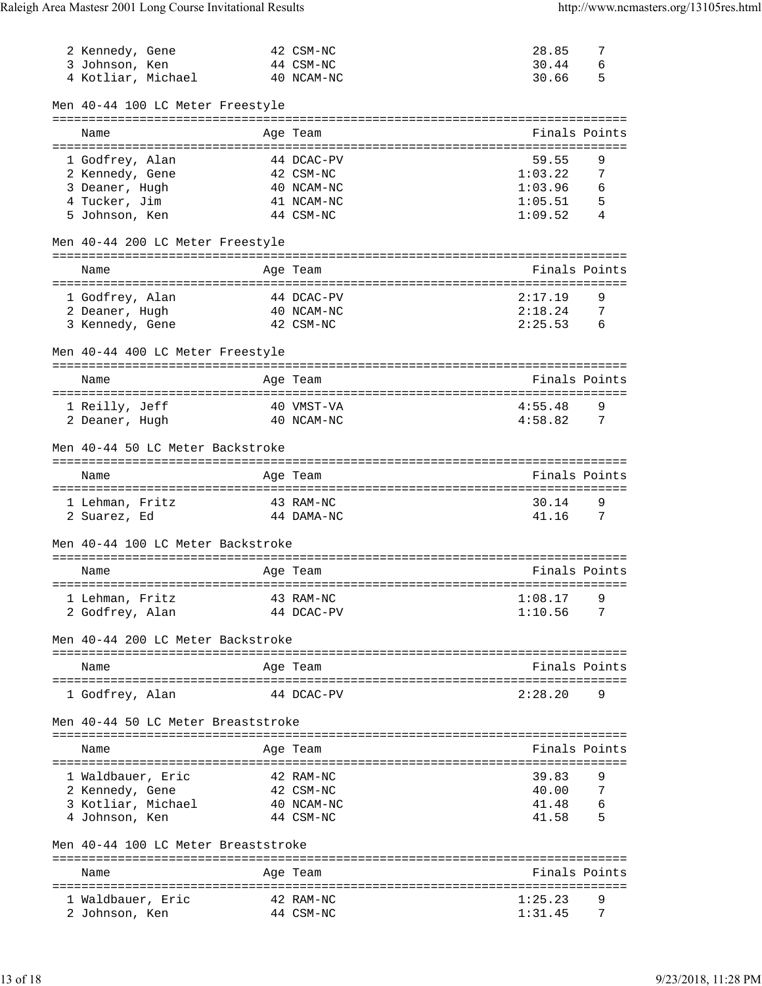|                                     |            | 42 CSM-NC              | 28.85              | 7      |
|-------------------------------------|------------|------------------------|--------------------|--------|
| 2 Kennedy, Gene<br>3 Johnson, Ken   |            | 44 CSM-NC              | 30.44              | 6      |
| 4 Kotliar, Michael                  |            | 40 NCAM-NC             | 30.66              | 5      |
|                                     |            |                        |                    |        |
| Men 40-44 100 LC Meter Freestyle    |            |                        |                    |        |
|                                     |            |                        |                    |        |
| Name                                |            | Age Team               | Finals Points      |        |
|                                     |            |                        |                    |        |
| 1 Godfrey, Alan                     |            | 44 DCAC-PV             | 59.55              | 9      |
| 2 Kennedy, Gene                     |            | 42 CSM-NC              | 1:03.22            | 7      |
| 3 Deaner, Hugh                      |            | 40 NCAM-NC             | 1:03.96            | 6      |
| 4 Tucker, Jim                       |            | 41 NCAM-NC             | 1:05.51            | 5      |
| 5 Johnson, Ken                      |            | 44 CSM-NC              | 1:09.52            | 4      |
|                                     |            |                        |                    |        |
| Men 40-44 200 LC Meter Freestyle    |            |                        |                    |        |
|                                     |            |                        |                    |        |
| Name                                |            | Age Team               | Finals Points      |        |
|                                     |            |                        |                    |        |
| 1 Godfrey, Alan                     |            | 44 DCAC-PV             | 2:17.19            | 9      |
| 2 Deaner, Hugh                      |            | 40 NCAM-NC             | 2:18.24            | - 7    |
| 3 Kennedy, Gene                     |            | 42 CSM-NC              | 2:25.53            | - 6    |
|                                     |            |                        |                    |        |
| Men 40-44 400 LC Meter Freestyle    |            |                        |                    |        |
|                                     |            |                        |                    |        |
| Name                                |            | Age Team               | Finals Points      |        |
|                                     |            |                        |                    |        |
| 1 Reilly, Jeff                      |            | 40 VMST-VA             | 4:55.48            | 9      |
| 2 Deaner, Hugh                      | 40 NCAM-NC |                        | 4:58.82            | 7      |
|                                     |            |                        |                    |        |
| Men 40-44 50 LC Meter Backstroke    |            |                        |                    |        |
|                                     |            |                        |                    |        |
|                                     |            |                        |                    |        |
|                                     |            |                        |                    |        |
| Name                                |            | Age Team               | Finals Points      |        |
|                                     |            |                        |                    |        |
| 1 Lehman, Fritz                     | 43 RAM-NC  |                        | 30.14              | 9      |
| 2 Suarez, Ed                        |            | 44 DAMA-NC             | 41.16              | 7      |
|                                     |            |                        |                    |        |
| Men 40-44 100 LC Meter Backstroke   |            |                        |                    |        |
|                                     |            |                        |                    |        |
| Name                                |            | Age Team               | Finals Points      |        |
|                                     |            |                        |                    |        |
| 1 Lehman, Fritz                     |            | 43 RAM-NC              | 1:08.17            |        |
| 2 Godfrey, Alan                     |            | 44 DCAC-PV             | 1:10.56            | 7      |
|                                     |            |                        |                    |        |
| Men 40-44 200 LC Meter Backstroke   |            |                        |                    |        |
|                                     |            |                        |                    |        |
| Name                                |            | Age Team               | Finals Points      |        |
|                                     |            |                        |                    |        |
| 1 Godfrey, Alan                     |            | 44 DCAC-PV             | 2:28.20            | 9      |
|                                     |            |                        |                    |        |
| Men 40-44 50 LC Meter Breaststroke  |            |                        |                    |        |
|                                     |            |                        |                    |        |
| Name                                |            | Age Team               | Finals Points      |        |
|                                     |            |                        |                    |        |
| 1 Waldbauer, Eric                   |            | 42 RAM-NC              | 39.83              | 9      |
| 2 Kennedy, Gene                     |            | 42 CSM-NC              | 40.00              | 7      |
| 3 Kotliar, Michael                  |            | 40 NCAM-NC             | 41.48              | 6      |
| 4 Johnson, Ken                      |            | 44 CSM-NC              | 41.58              | 5      |
|                                     |            |                        |                    |        |
| Men 40-44 100 LC Meter Breaststroke |            |                        |                    |        |
|                                     |            |                        |                    |        |
| Name                                |            | Age Team               | Finals Points      |        |
|                                     |            |                        |                    |        |
| 1 Waldbauer, Eric<br>2 Johnson, Ken |            | 42 RAM-NC<br>44 CSM-NC | 1:25.23<br>1:31.45 | 9<br>7 |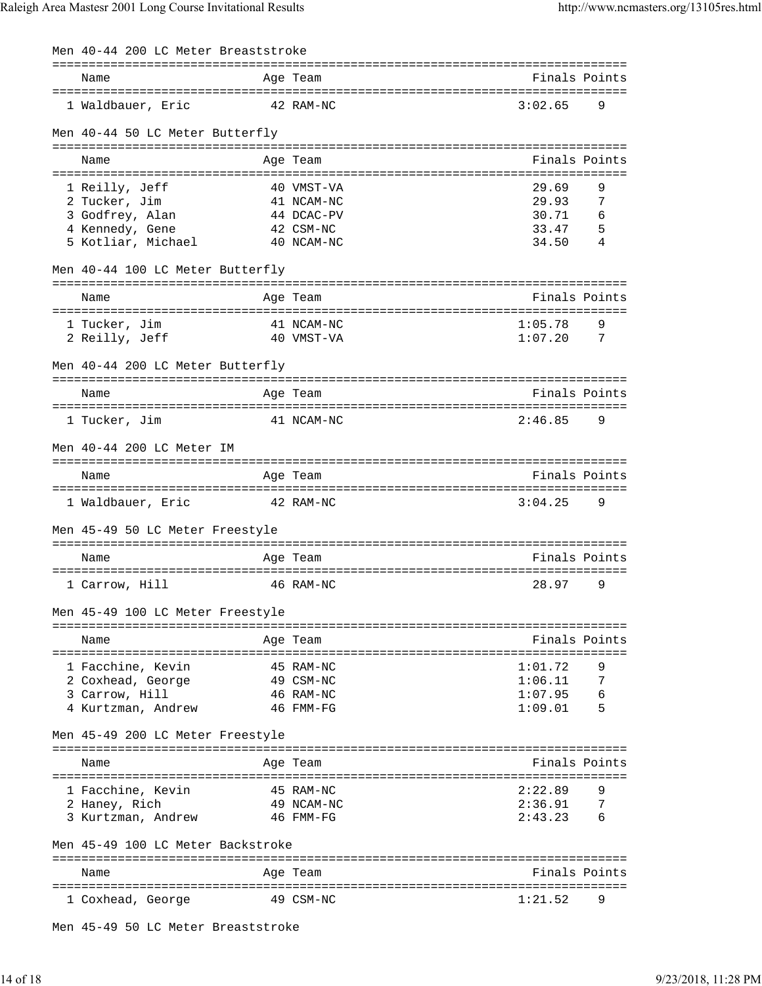| Men 40-44 200 LC Meter Breaststroke    |                         |                |                |
|----------------------------------------|-------------------------|----------------|----------------|
| Name                                   | Age Team                | Finals Points  |                |
| 1 Waldbauer, Eric                      | 42 RAM-NC               | 3:02.65        | 9              |
| Men 40-44 50 LC Meter Butterfly        |                         |                |                |
| Name                                   | Age Team                | Finals Points  |                |
| 1 Reilly, Jeff                         | 40 VMST-VA              | 29.69          | 9              |
| 2 Tucker, Jim                          | 41 NCAM-NC              | 29.93          | 7              |
| 3 Godfrey, Alan                        | 44 DCAC-PV              | 30.71          | 6              |
| 4 Kennedy, Gene<br>5 Kotliar, Michael  | 42 CSM-NC<br>40 NCAM-NC | 33.47<br>34.50 | 5<br>4         |
| Men 40-44 100 LC Meter Butterfly       |                         |                |                |
| Name                                   | Age Team                | Finals Points  |                |
| 1 Tucker, Jim                          | 41 NCAM-NC              | 1:05.78        | 9              |
| 2 Reilly, Jeff                         | 40 VMST-VA              | 1:07.20        | 7              |
| Men 40-44 200 LC Meter Butterfly       |                         |                |                |
| Name                                   | Age Team                | Finals Points  |                |
| 1 Tucker, Jim                          | 41 NCAM-NC              | 2:46.85        | 9              |
| Men 40-44 200 LC Meter IM              |                         |                |                |
| Name                                   | Age Team                | Finals Points  |                |
| 1 Waldbauer, Eric                      | 42 RAM-NC               | 3:04.25        | 9              |
| Men 45-49 50 LC Meter Freestyle        |                         |                |                |
| Name                                   | Age Team                | Finals Points  |                |
| 1 Carrow, Hill                         | 46 RAM-NC               | 28.97          | 9              |
| Men 45-49 100 LC Meter Freestyle       |                         |                |                |
| Name                                   | Age Team                | Finals Points  |                |
|                                        | 45 RAM-NC               | 1:01.72        | 9              |
| 1 Facchine, Kevin<br>2 Coxhead, George | 49 CSM-NC               | 1:06.11        | $\overline{7}$ |
| 3 Carrow, Hill                         | 46 RAM-NC               | 1:07.95        | 6              |
| 4 Kurtzman, Andrew                     | 46 FMM-FG               | 1:09.01        | - 5            |
| Men 45-49 200 LC Meter Freestyle       |                         |                |                |
| Name                                   | Age Team                | Finals Points  |                |
| 1 Facchine, Kevin                      | 45 RAM-NC               | 2:22.89        | 9              |
| 2 Haney, Rich                          | 49 NCAM-NC              | 2:36.91        | -7             |
| 3 Kurtzman, Andrew                     | 46 FMM-FG               | 2:43.23        | 6              |
| Men 45-49 100 LC Meter Backstroke      |                         |                |                |
| Name                                   | Age Team                | Finals Points  |                |
| 1 Coxhead, George                      | 49 CSM-NC               | 1:21.52        | 9              |
| Men 45-49 50 LC Meter Breaststroke     |                         |                |                |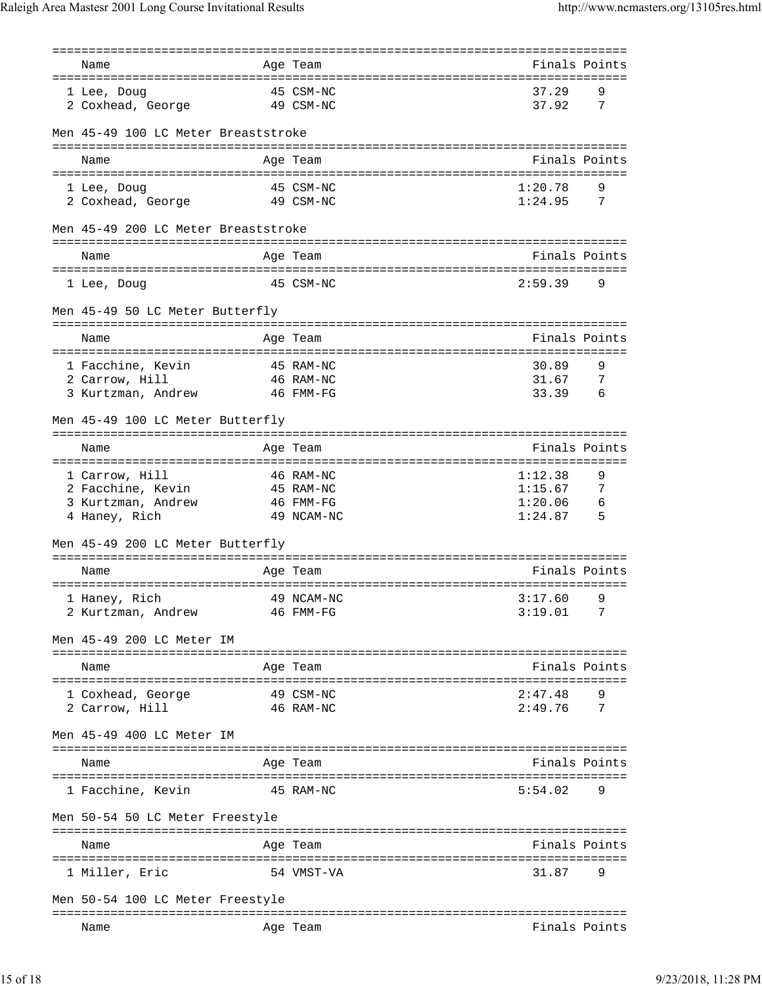| Name                                     | Age Team                                    | Finals Points                  |                |
|------------------------------------------|---------------------------------------------|--------------------------------|----------------|
| 1 Lee, Doug                              | 45 CSM-NC                                   | 37.29                          | 9              |
| 2 Coxhead, George<br>49 CSM-NC           |                                             | 37.92                          | 7              |
| Men 45-49 100 LC Meter Breaststroke      |                                             |                                |                |
|                                          |                                             |                                |                |
| Name                                     | Age Team                                    | Finals Points                  |                |
| 1 Lee, Doug                              | 45 CSM-NC                                   | 1:20.78                        |                |
| 2 Coxhead, George                        | 49 CSM-NC                                   | 1:24.95                        | $\overline{7}$ |
| Men 45-49 200 LC Meter Breaststroke      |                                             |                                |                |
|                                          |                                             |                                |                |
| Name                                     | Age Team                                    | Finals Points                  |                |
| 1 Lee, Doug                              | 45 CSM-NC                                   | 2:59.39                        | 9              |
| Men 45-49 50 LC Meter Butterfly          |                                             |                                |                |
| Name                                     | Age Team                                    | Finals Points                  |                |
|                                          | 45 RAM-NC                                   | 30.89                          | 9              |
| 1 Facchine, Kevin<br>2 Carrow, Hill      | 46 RAM-NC                                   | 31.67                          | $\overline{7}$ |
| 3 Kurtzman, Andrew                       | 46 FMM-FG                                   | 33.39                          | - 6            |
|                                          |                                             |                                |                |
| Men 45-49 100 LC Meter Butterfly         |                                             |                                |                |
|                                          | ===============================<br>Age Team | Finals Points                  |                |
| Name                                     |                                             |                                |                |
| 1 Carrow, Hill                           | 46 RAM-NC                                   | 1:12.38                        | 9              |
| 2 Facchine, Kevin                        | 45 RAM-NC                                   | 1:15.67                        | -7             |
| 3 Kurtzman, Andrew                       | 46 FMM-FG                                   | 1:20.06                        | - 6            |
| 4 Haney, Rich                            | 49 NCAM-NC                                  | 1:24.87                        | $\overline{5}$ |
| Men 45-49 200 LC Meter Butterfly         |                                             |                                |                |
| Name                                     | Age Team                                    | Finals Points                  |                |
|                                          |                                             |                                |                |
| 1 Haney, Rich                            | 49 NCAM-NC                                  | 3:17.60                        | 9              |
| 2 Kurtzman, Andrew                       | 46 FMM-FG                                   | 3:19.01                        | 7              |
| Men 45-49 200 LC Meter IM                |                                             |                                |                |
| Name                                     | Age Team                                    | Finals Points                  |                |
|                                          |                                             |                                |                |
| 1 Coxhead, George                        | 49 CSM-NC                                   | 2:47.48                        |                |
| 2 Carrow, Hill                           | 46 RAM-NC                                   | 2:49.76                        | 7              |
| Men 45-49 400 LC Meter IM                |                                             |                                |                |
| Name                                     | Age Team                                    | Finals Points                  |                |
| 1 Facchine, Kevin                        | 45 RAM-NC                                   | 5:54.02                        | 9              |
| Men 50-54 50 LC Meter Freestyle          |                                             |                                |                |
| Name                                     | Age Team                                    | Finals Points                  |                |
| ======================<br>1 Miller, Eric | :========================<br>54 VMST-VA     | :====================<br>31.87 | 9              |
|                                          |                                             |                                |                |
| Men 50-54 100 LC Meter Freestyle         |                                             |                                |                |
| Name                                     | Age Team                                    | Finals Points                  |                |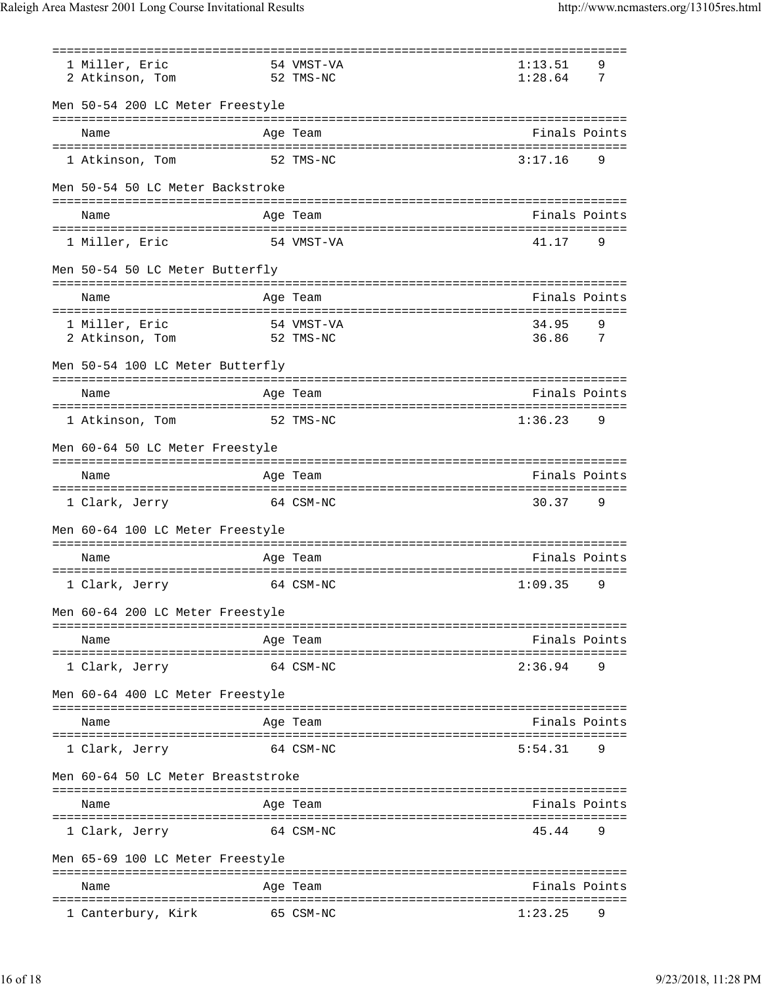| 1 Miller, Eric                              | 54 VMST-VA                                    | 1:13.51                     | 9 |
|---------------------------------------------|-----------------------------------------------|-----------------------------|---|
| 2 Atkinson, Tom<br>52 TMS-NC                |                                               | 1:28.64                     | 7 |
| Men 50-54 200 LC Meter Freestyle            |                                               |                             |   |
| Name                                        | Age Team                                      | Finals Points               |   |
| 1 Atkinson, Tom                             | 52 TMS-NC                                     | 3:17.16                     | 9 |
| Men 50-54 50 LC Meter Backstroke            |                                               |                             |   |
| Name<br>=================================== | Age Team<br>--------------------------------- | Finals Points               |   |
| 1 Miller, Eric                              | 54 VMST-VA                                    | 41.17                       | 9 |
| Men 50-54 50 LC Meter Butterfly             |                                               |                             |   |
| Name                                        | Age Team                                      | Finals Points               |   |
| 1 Miller, Eric                              | 54 VMST-VA                                    | 34.95                       | 9 |
| 2 Atkinson, Tom                             | 52 TMS-NC                                     | 36.86                       | 7 |
| Men 50-54 100 LC Meter Butterfly            |                                               |                             |   |
| Name                                        | ==============================<br>Age Team    | Finals Points               |   |
| 1 Atkinson, Tom                             | 52 TMS-NC                                     | ================<br>1:36.23 | 9 |
| Men 60-64 50 LC Meter Freestyle             |                                               |                             |   |
| Name                                        | Age Team                                      | Finals Points               |   |
| 1 Clark, Jerry                              | 64 CSM-NC                                     | 30.37                       | 9 |
| Men 60-64 100 LC Meter Freestyle            |                                               |                             |   |
| Name                                        | Age Team                                      | Finals Points               |   |
| 1 Clark, Jerry                              | 64 CSM-NC                                     | 1:09.35                     | 9 |
| Men 60-64 200 LC Meter Freestyle            | :=========                                    |                             |   |
| Name                                        | Age Team                                      | Finals Points               |   |
| 1 Clark, Jerry                              | 64 CSM-NC                                     | 2:36.94                     | 9 |
| Men 60-64 400 LC Meter Freestyle            |                                               |                             |   |
|                                             |                                               |                             |   |
| Name                                        | Age Team                                      | Finals Points               |   |
| 1 Clark, Jerry                              | 64 CSM-NC                                     | 5:54.31                     | 9 |
| Men 60-64 50 LC Meter Breaststroke          |                                               |                             |   |
| Name                                        | Age Team                                      | Finals Points               |   |
|                                             |                                               |                             |   |
| 1 Clark, Jerry                              | 64 CSM-NC                                     | 45.44                       | 9 |
| Men 65-69 100 LC Meter Freestyle            |                                               |                             |   |
| Name                                        | Age Team                                      | Finals Points               |   |
| 1 Canterbury, Kirk                          | 65 CSM-NC                                     | 1:23.25                     |   |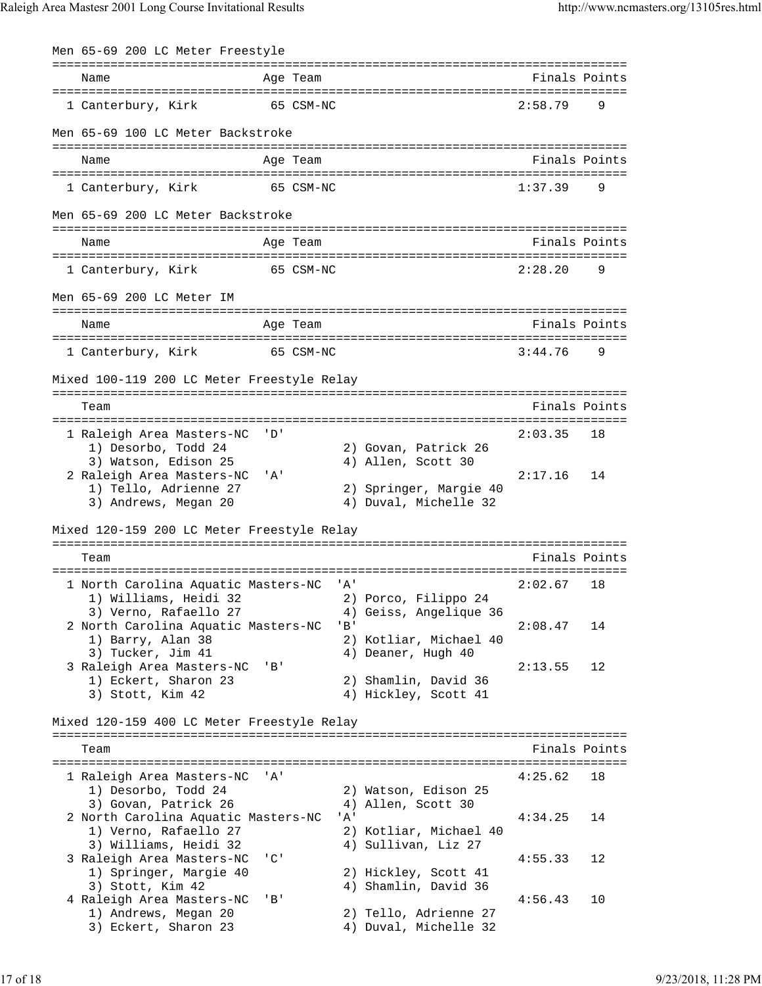| Men 65-69 200 LC Meter Freestyle                                                                       |                           |       |                                                                        |         |               |
|--------------------------------------------------------------------------------------------------------|---------------------------|-------|------------------------------------------------------------------------|---------|---------------|
| Name                                                                                                   | Age Team                  |       | ---------------------------------                                      |         | Finals Points |
| 1 Canterbury, Kirk                                                                                     | 65 CSM-NC                 |       |                                                                        | 2:58.79 | 9             |
| Men 65-69 100 LC Meter Backstroke                                                                      |                           |       |                                                                        |         |               |
| Name                                                                                                   | Age Team                  |       |                                                                        |         | Finals Points |
| 1 Canterbury, Kirk                                                                                     | 65 CSM-NC                 |       |                                                                        | 1:37.39 | 9             |
| Men 65-69 200 LC Meter Backstroke                                                                      |                           |       |                                                                        |         |               |
| Name                                                                                                   | Age Team                  |       |                                                                        |         | Finals Points |
| 1 Canterbury, Kirk                                                                                     | 65 CSM-NC                 |       |                                                                        | 2:28.20 | 9             |
| Men 65-69 200 LC Meter IM                                                                              |                           |       |                                                                        |         |               |
| Name                                                                                                   | Age Team                  |       |                                                                        |         | Finals Points |
| 1 Canterbury, Kirk                                                                                     | 65 CSM-NC                 |       |                                                                        | 3:44.76 | 9             |
| Mixed 100-119 200 LC Meter Freestyle Relay                                                             |                           |       |                                                                        |         |               |
| Team                                                                                                   |                           |       |                                                                        |         | Finals Points |
| 1 Raleigh Area Masters-NC<br>1) Desorbo, Todd 24<br>3) Watson, Edison 25                               | י ס י                     |       | 2) Govan, Patrick 26<br>4) Allen, Scott 30                             | 2:03.35 | 18            |
| 2 Raleigh Area Masters-NC<br>1) Tello, Adrienne 27<br>3) Andrews, Megan 20                             | ' A '                     |       | 2) Springer, Margie 40<br>4) Duval, Michelle 32                        | 2:17.16 | 14            |
| Mixed 120-159 200 LC Meter Freestyle Relay                                                             |                           |       |                                                                        |         |               |
| Team                                                                                                   |                           |       |                                                                        |         | Finals Points |
| 1 North Carolina Aquatic Masters-NC<br>1) Williams, Heidi 32                                           |                           | ' A ' | 2) Porco, Filippo 24                                                   | 2:02.67 | 18            |
| 3) Verno, Rafaello 27<br>2 North Carolina Aquatic Masters-NC<br>1) Barry, Alan 38<br>3) Tucker, Jim 41 |                           | 'B'   | 4) Geiss, Angelique 36<br>2) Kotliar, Michael 40<br>4) Deaner, Hugh 40 | 2:08.47 | 14            |
| 3 Raleigh Area Masters-NC<br>1) Eckert, Sharon 23<br>3) Stott, Kim 42                                  | ' B'                      |       | 2) Shamlin, David 36<br>4) Hickley, Scott 41                           | 2:13.55 | 12            |
| Mixed 120-159 400 LC Meter Freestyle Relay                                                             |                           |       |                                                                        |         |               |
| Team                                                                                                   |                           |       |                                                                        |         | Finals Points |
| 1 Raleigh Area Masters-NC<br>1) Desorbo, Todd 24                                                       | ' A '                     |       | 2) Watson, Edison 25                                                   | 4:25.62 | 18            |
| 3) Govan, Patrick 26<br>2 North Carolina Aquatic Masters-NC<br>1) Verno, Rafaello 27                   |                           | 'A'   | 4) Allen, Scott 30<br>2) Kotliar, Michael 40                           | 4:34.25 | 14            |
| 3) Williams, Heidi 32<br>3 Raleigh Area Masters-NC<br>1) Springer, Margie 40                           | $^{\prime}$ C $^{\prime}$ |       | 4) Sullivan, Liz 27<br>2) Hickley, Scott 41                            | 4:55.33 | 12            |
| 3) Stott, Kim 42<br>4 Raleigh Area Masters-NC<br>1) Andrews, Megan 20                                  | ' B '                     |       | 4) Shamlin, David 36<br>2) Tello, Adrienne 27                          | 4:56.43 | 10            |
| 3) Eckert, Sharon 23                                                                                   |                           |       | 4) Duval, Michelle 32                                                  |         |               |